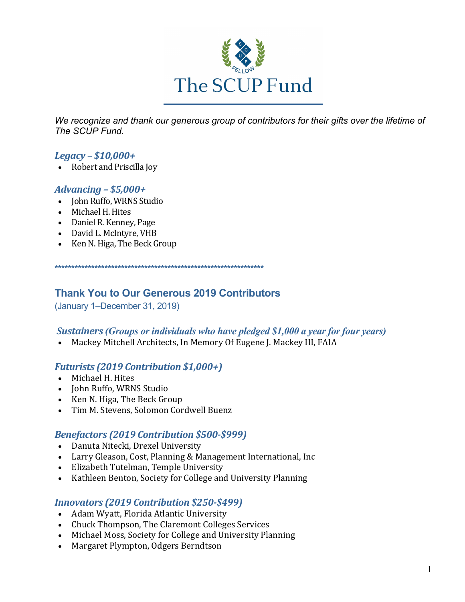

*We recognize and thank our generous group of contributors for their gifts over the lifetime of The SCUP Fund.*

## *Legacy – \$10,000+*

• Robert and Priscilla Joy

### *Advancing – \$5,000+*

- John Ruffo, WRNS Studio
- Michael H. Hites
- Daniel R. Kenney, Page
- David L. McIntyre, VHB
- Ken N. Higa, The Beck Group

**\*\*\*\*\*\*\*\*\*\*\*\*\*\*\*\*\*\*\*\*\*\*\*\*\*\*\*\*\*\*\*\*\*\*\*\*\*\*\*\*\*\*\*\*\*\*\*\*\*\*\*\*\*\*\*\*\*\*\*\*\*\*\***

# **Thank You to Our Generous 2019 Contributors**

(January 1–December 31, 2019)

#### *Sustainers (Groups or individuals who have pledged \$1,000 a year for four years)*

• Mackey Mitchell Architects, In Memory Of Eugene J. Mackey III, FAIA

### *Futurists (2019 Contribution \$1,000+)*

- Michael H. Hites
- John Ruffo, WRNS Studio
- Ken N. Higa, The Beck Group
- Tim M. Stevens, Solomon Cordwell Buenz

### *Benefactors (2019 Contribution \$500-\$999)*

- Danuta Nitecki, Drexel University
- Larry Gleason, Cost, Planning & Management International, Inc
- Elizabeth Tutelman, Temple University
- Kathleen Benton, Society for College and University Planning

#### *Innovators (2019 Contribution \$250-\$499)*

- Adam Wyatt, Florida Atlantic University
- Chuck Thompson, The Claremont Colleges Services
- Michael Moss, Society for College and University Planning
- Margaret Plympton, Odgers Berndtson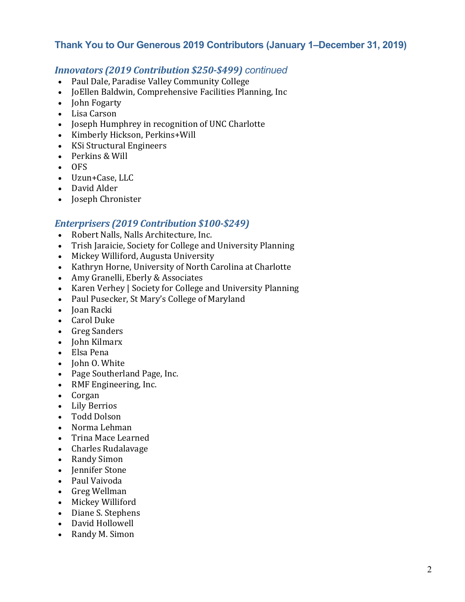# **Thank You to Our Generous 2019 Contributors (January 1–December 31, 2019)**

#### *Innovators (2019 Contribution \$250-\$499) continued*

- Paul Dale, Paradise Valley Community College
- JoEllen Baldwin, Comprehensive Facilities Planning, Inc
- John Fogarty
- Lisa Carson
- Joseph Humphrey in recognition of UNC Charlotte
- Kimberly Hickson, Perkins+Will
- KSi Structural Engineers
- Perkins & Will
- OFS
- Uzun+Case, LLC
- David Alder
- Joseph Chronister

#### *Enterprisers (2019 Contribution \$100-\$249)*

- Robert Nalls, Nalls Architecture, Inc.
- Trish Jaraicie, Society for College and University Planning
- Mickey Williford, Augusta University
- Kathryn Horne, University of North Carolina at Charlotte
- Amy Granelli, Eberly & Associates
- Karen Verhey | Society for College and University Planning
- Paul Pusecker, St Mary's College of Maryland
- Joan Racki
- Carol Duke
- Greg Sanders
- John Kilmarx
- Elsa Pena
- John O. White
- Page Southerland Page, Inc.
- RMF Engineering, Inc.
- Corgan
- Lily Berrios
- Todd Dolson
- Norma Lehman
- Trina Mace Learned
- Charles Rudalavage
- Randy Simon
- **Iennifer** Stone
- Paul Vaivoda
- Greg Wellman
- Mickey Williford
- Diane S. Stephens
- David Hollowell
- Randy M. Simon